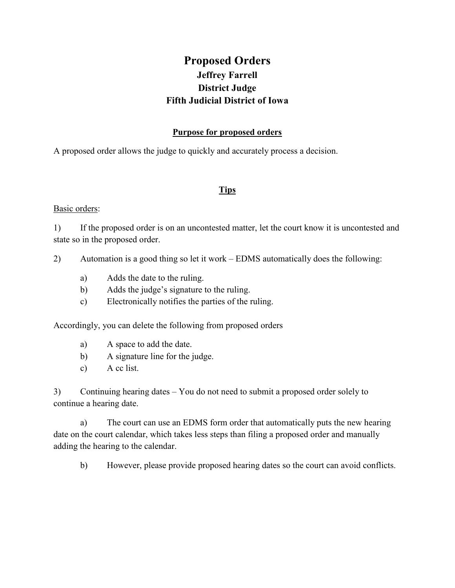# **Proposed Orders Jeffrey Farrell District Judge Fifth Judicial District of Iowa**

### **Purpose for proposed orders**

A proposed order allows the judge to quickly and accurately process a decision.

### **Tips**

### Basic orders:

1) If the proposed order is on an uncontested matter, let the court know it is uncontested and state so in the proposed order.

2) Automation is a good thing so let it work – EDMS automatically does the following:

- a) Adds the date to the ruling.
- b) Adds the judge's signature to the ruling.
- c) Electronically notifies the parties of the ruling.

Accordingly, you can delete the following from proposed orders

- a) A space to add the date.
- b) A signature line for the judge.
- c) A cc list.

3) Continuing hearing dates – You do not need to submit a proposed order solely to continue a hearing date.

a) The court can use an EDMS form order that automatically puts the new hearing date on the court calendar, which takes less steps than filing a proposed order and manually adding the hearing to the calendar.

b) However, please provide proposed hearing dates so the court can avoid conflicts.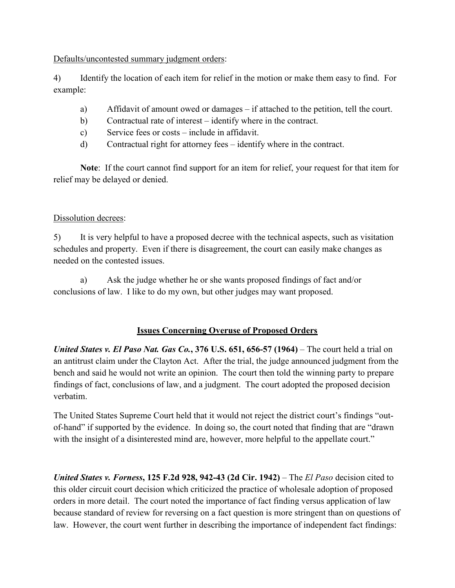Defaults/uncontested summary judgment orders:

4) Identify the location of each item for relief in the motion or make them easy to find. For example:

- a) Affidavit of amount owed or damages if attached to the petition, tell the court.
- b) Contractual rate of interest identify where in the contract.
- c) Service fees or costs include in affidavit.
- d) Contractual right for attorney fees identify where in the contract.

**Note**: If the court cannot find support for an item for relief, your request for that item for relief may be delayed or denied.

# Dissolution decrees:

5) It is very helpful to have a proposed decree with the technical aspects, such as visitation schedules and property. Even if there is disagreement, the court can easily make changes as needed on the contested issues.

 a) Ask the judge whether he or she wants proposed findings of fact and/or conclusions of law. I like to do my own, but other judges may want proposed.

# **Issues Concerning Overuse of Proposed Orders**

*United States v. El Paso Nat. Gas Co.***, 376 U.S. 651, 656-57 (1964)** – The court held a trial on an antitrust claim under the Clayton Act. After the trial, the judge announced judgment from the bench and said he would not write an opinion. The court then told the winning party to prepare findings of fact, conclusions of law, and a judgment. The court adopted the proposed decision verbatim.

The United States Supreme Court held that it would not reject the district court's findings "outof-hand" if supported by the evidence. In doing so, the court noted that finding that are "drawn with the insight of a disinterested mind are, however, more helpful to the appellate court."

*United States v. Forness***, 125 F.2d 928, 942-43 (2d Cir. 1942)** – The *El Paso* decision cited to this older circuit court decision which criticized the practice of wholesale adoption of proposed orders in more detail. The court noted the importance of fact finding versus application of law because standard of review for reversing on a fact question is more stringent than on questions of law. However, the court went further in describing the importance of independent fact findings: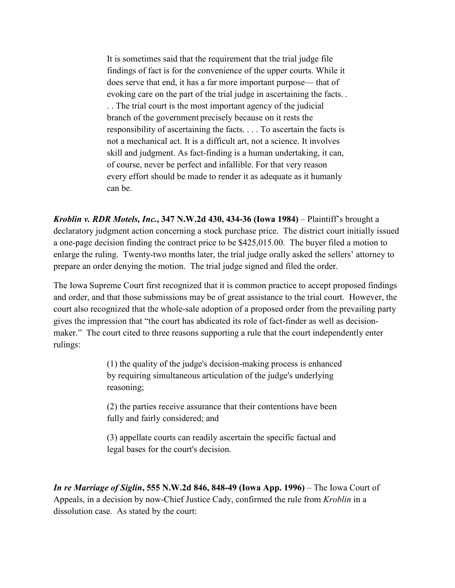It is sometimes said that the requirement that the trial judge file findings of fact is for the convenience of the upper courts. While it does serve that end, it has a far more important purpose— that of evoking care on the part of the trial judge in ascertaining the facts. . . . The trial court is the most important agency of the judicial branch of the government precisely because on it rests the responsibility of ascertaining the facts. . . . To ascertain the facts is not a mechanical act. It is a difficult art, not a science. It involves skill and judgment. As fact-finding is a human undertaking, it can, of course, never be perfect and infallible. For that very reason every effort should be made to render it as adequate as it humanly can be.

*Kroblin v. RDR Motels, Inc.***, 347 N.W.2d 430, 434-36 (Iowa 1984)** – Plaintiff's brought a declaratory judgment action concerning a stock purchase price. The district court initially issued a one-page decision finding the contract price to be \$425,015.00. The buyer filed a motion to enlarge the ruling. Twenty-two months later, the trial judge orally asked the sellers' attorney to prepare an order denying the motion. The trial judge signed and filed the order.

The Iowa Supreme Court first recognized that it is common practice to accept proposed findings and order, and that those submissions may be of great assistance to the trial court. However, the court also recognized that the whole-sale adoption of a proposed order from the prevailing party gives the impression that "the court has abdicated its role of fact-finder as well as decisionmaker." The court cited to three reasons supporting a rule that the court independently enter rulings:

> (1) the quality of the judge's decision-making process is enhanced by requiring simultaneous articulation of the judge's underlying reasoning;

(2) the parties receive assurance that their contentions have been fully and fairly considered; and

(3) appellate courts can readily ascertain the specific factual and legal bases for the court's decision.

*In re Marriage of Siglin***, 555 N.W.2d 846, 848-49 (Iowa App. 1996)** – The Iowa Court of Appeals, in a decision by now-Chief Justice Cady, confirmed the rule from *Kroblin* in a dissolution case. As stated by the court: